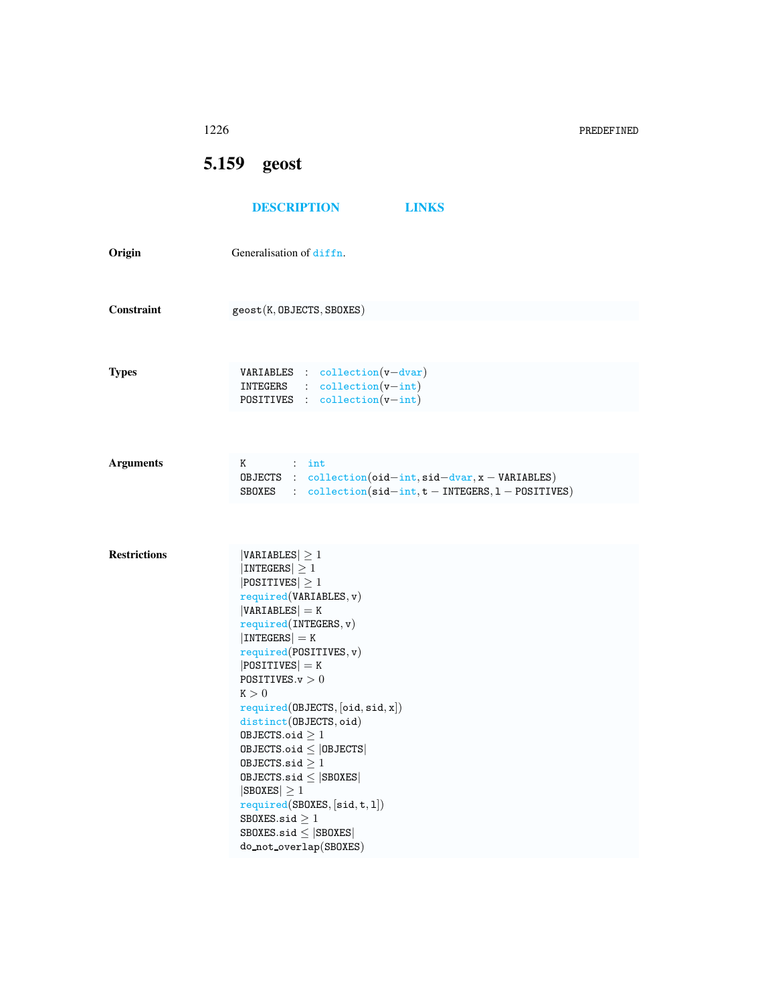<span id="page-0-0"></span>

|                     | 1226                                                                                                                                                                                                                                                                                                                                                                                                                                                                                                                                                                   | PREDEFINED |
|---------------------|------------------------------------------------------------------------------------------------------------------------------------------------------------------------------------------------------------------------------------------------------------------------------------------------------------------------------------------------------------------------------------------------------------------------------------------------------------------------------------------------------------------------------------------------------------------------|------------|
|                     | 5.159 geost                                                                                                                                                                                                                                                                                                                                                                                                                                                                                                                                                            |            |
|                     | <b>DESCRIPTION</b><br><b>LINKS</b>                                                                                                                                                                                                                                                                                                                                                                                                                                                                                                                                     |            |
| Origin              | Generalisation of diffn.                                                                                                                                                                                                                                                                                                                                                                                                                                                                                                                                               |            |
| Constraint          | $\texttt{geost}(K,\texttt{OBIECTS},\texttt{SBOKES})$                                                                                                                                                                                                                                                                                                                                                                                                                                                                                                                   |            |
| Types               | $VARIABLES : collection(v-dvar)$<br>$INTEGRS$ : $collection(v-int)$<br>POSITIVES : $\text{collection}(v\text{-int})$                                                                                                                                                                                                                                                                                                                                                                                                                                                   |            |
| <b>Arguments</b>    | $K$ : int<br>OBJECTS : $\text{collection}(\text{oid} - \text{int}, \text{sid} - \text{dvar}, x - \text{VARIABLES})$<br>SBOXES : $\text{collection}(\text{sid} - \text{int}, t - \text{INTEGRS}, 1 - \text{POSITIVES})$                                                                                                                                                                                                                                                                                                                                                 |            |
|                     |                                                                                                                                                                                                                                                                                                                                                                                                                                                                                                                                                                        |            |
| <b>Restrictions</b> | $ VARIABLES  \geq 1$<br>$ INTEGERS  \geq 1$<br>$ POSITIVES  \geq 1$<br>required(VARIABLES, v)<br>$ VARIABLES  = K$<br>required(INTERS, v)<br>$ INTEGERS  = K$<br>required(POSTTIVES, v)<br>$ POSITIVES  = K$<br>POSITIVES. $v > 0$<br>K > 0<br>required(DBJECTS, [oid, sid, x])<br>distinct(OBJECTS, oid)<br>OBJECTS.oid $\geq 1$<br>$0$ BJECTS.oid $\leq$   0BJECTS  <br>OBJECTS.sid $\geq 1$<br>$0$ BJECTS.sid $\leq$  SB0XES <br>$ SBOKES  \geq 1$<br>required(SBOXES, [sid, t, 1])<br>SBOXES.sid $\geq 1$<br>$SBOKES.size \leq  SBOKES $<br>do_not_overlap(SBOXES) |            |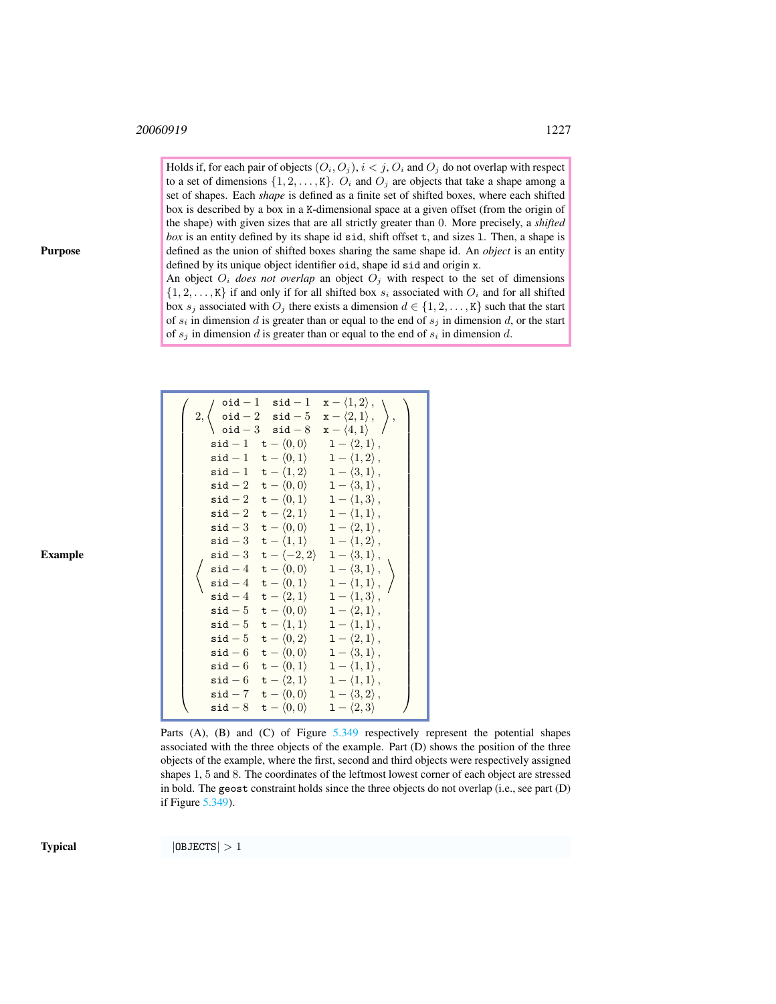Holds if, for each pair of objects  $(O_i, O_j)$ ,  $i < j$ ,  $O_i$  and  $O_j$  do not overlap with respect to a set of dimensions  $\{1, 2, \ldots, K\}$ .  $O_i$  and  $O_j$  are objects that take a shape among a set of shapes. Each *shape* is defined as a finite set of shifted boxes, where each shifted box is described by a box in a K-dimensional space at a given offset (from the origin of the shape) with given sizes that are all strictly greater than 0. More precisely, a *shifted box* is an entity defined by its shape id sid, shift offset t, and sizes 1. Then, a shape is defined as the union of shifted boxes sharing the same shape id. An *object* is an entity defined by its unique object identifier oid, shape id sid and origin x.

An object  $O_i$  *does not overlap* an object  $O_j$  with respect to the set of dimensions  $\{1, 2, \ldots, K\}$  if and only if for all shifted box  $s_i$  associated with  $O_i$  and for all shifted box  $s_j$  associated with  $O_j$  there exists a dimension  $d \in \{1, 2, \ldots, K\}$  such that the start of  $s_i$  in dimension d is greater than or equal to the end of  $s_j$  in dimension d, or the start of  $s_j$  in dimension d is greater than or equal to the end of  $s_i$  in dimension d.

|  |                                                                                            | 2, $\begin{cases} \text{oid} -1 & \text{sid} -1 & x - \langle 1, 2 \rangle, \\ \text{oid} -2 & \text{sid} -5 & x - \langle 2, 1 \rangle, \\ \text{oid} -3 & \text{sid} -8 & x - \langle 4, 1 \rangle \end{cases}$ , |
|--|--------------------------------------------------------------------------------------------|---------------------------------------------------------------------------------------------------------------------------------------------------------------------------------------------------------------------|
|  |                                                                                            |                                                                                                                                                                                                                     |
|  |                                                                                            | $\mathsf{sid} - 1 \quad \mathsf{t} - \langle 0, 0 \rangle \qquad 1 - \langle 2, 1 \rangle$ ,                                                                                                                        |
|  |                                                                                            | $\mathsf{sid} - 1 \quad \mathsf{t} - \langle 0, 1 \rangle \quad 1 - \langle 1, 2 \rangle$ ,                                                                                                                         |
|  |                                                                                            | $\texttt{sid} - 1 \quad \texttt{t} - \langle 1, 2 \rangle \quad 1 - \langle 3, 1 \rangle,$                                                                                                                          |
|  |                                                                                            | $\texttt{sid} - 2 \quad \texttt{t} - \langle 0, 0 \rangle \quad 1 - \langle 3, 1 \rangle,$                                                                                                                          |
|  |                                                                                            | $\texttt{sid} - 2 \quad \texttt{t} - \langle 0, 1 \rangle \quad 1 - \langle 1, 3 \rangle$ ,                                                                                                                         |
|  |                                                                                            | $\mathsf{sid}-2 \quad \mathsf{t}-\langle 2,1\rangle \qquad 1-\langle 1,1\rangle\,,$                                                                                                                                 |
|  |                                                                                            | $\texttt{sid} - 3 \quad \texttt{t} - \langle 0, 0 \rangle \quad 1 - \langle 2, 1 \rangle,$                                                                                                                          |
|  |                                                                                            | $\texttt{sid} - 3 \quad \texttt{t} - \langle 1, 1 \rangle \quad 1 - \langle 1, 2 \rangle,$                                                                                                                          |
|  |                                                                                            | $\mathsf{sid}-3 \quad \mathsf{t}-\langle -2,2\rangle \quad 1-\langle 3,1\rangle\,,$                                                                                                                                 |
|  |                                                                                            | $\left\{ \begin{array}{ccc} \mathtt{sid-4} & \mathtt{t}-\langle 0,0 \rangle & 1-\langle 3,1 \rangle\,, \ \mathtt{sid-4} & \mathtt{t}-\langle 0,1 \rangle & 1-\langle 1,1 \rangle\,, \end{array} \right\}$           |
|  |                                                                                            |                                                                                                                                                                                                                     |
|  |                                                                                            | $\mathsf{sid-4} \quad \mathsf{t}-\langle 2,1\rangle \qquad \mathsf{1}-\langle 1,3\rangle\,,$                                                                                                                        |
|  |                                                                                            | $\mathsf{sid-5} \quad \mathsf{t}-\langle 0,0\rangle \qquad \mathsf{1}-\langle 2,1\rangle\,,$                                                                                                                        |
|  |                                                                                            | $\mathsf{sid-5} \quad \mathsf{t}-\langle 1,1\rangle \qquad 1-\langle 1,1\rangle\,,$                                                                                                                                 |
|  |                                                                                            | $\texttt{sid} - 5 \quad \texttt{t} - \langle 0, 2 \rangle \quad 1 - \langle 2, 1 \rangle,$                                                                                                                          |
|  |                                                                                            | $\texttt{sid} - 6 \quad \texttt{t} - \langle 0, 0 \rangle \quad 1 - \langle 3, 1 \rangle,$                                                                                                                          |
|  |                                                                                            | $\mathsf{sid} - 6 \quad \mathsf{t} - \langle 0, 1 \rangle \quad \mathsf{1} - \langle 1, 1 \rangle$ ,                                                                                                                |
|  |                                                                                            | $\mathsf{sid}-6 \quad \mathsf{t}-\langle 2,1\rangle \qquad 1-\langle 1,1\rangle\,,$                                                                                                                                 |
|  | $\texttt{sid} - 7 \quad \texttt{t} - \langle 0, 0 \rangle \quad 1 - \langle 3, 2 \rangle,$ |                                                                                                                                                                                                                     |
|  | $\mathsf{sid-8} \quad \mathsf{t}-\langle 0,0 \rangle \qquad 1-\langle 2,3 \rangle$         |                                                                                                                                                                                                                     |

Parts (A), (B) and (C) of Figure  $5.349$  respectively represent the potential shapes associated with the three objects of the example. Part (D) shows the position of the three objects of the example, where the first, second and third objects were respectively assigned shapes 1, 5 and 8. The coordinates of the leftmost lowest corner of each object are stressed in bold. The geost constraint holds since the three objects do not overlap (i.e., see part (D) if Figure [5.349\)](#page-2-0).

Purpose

Example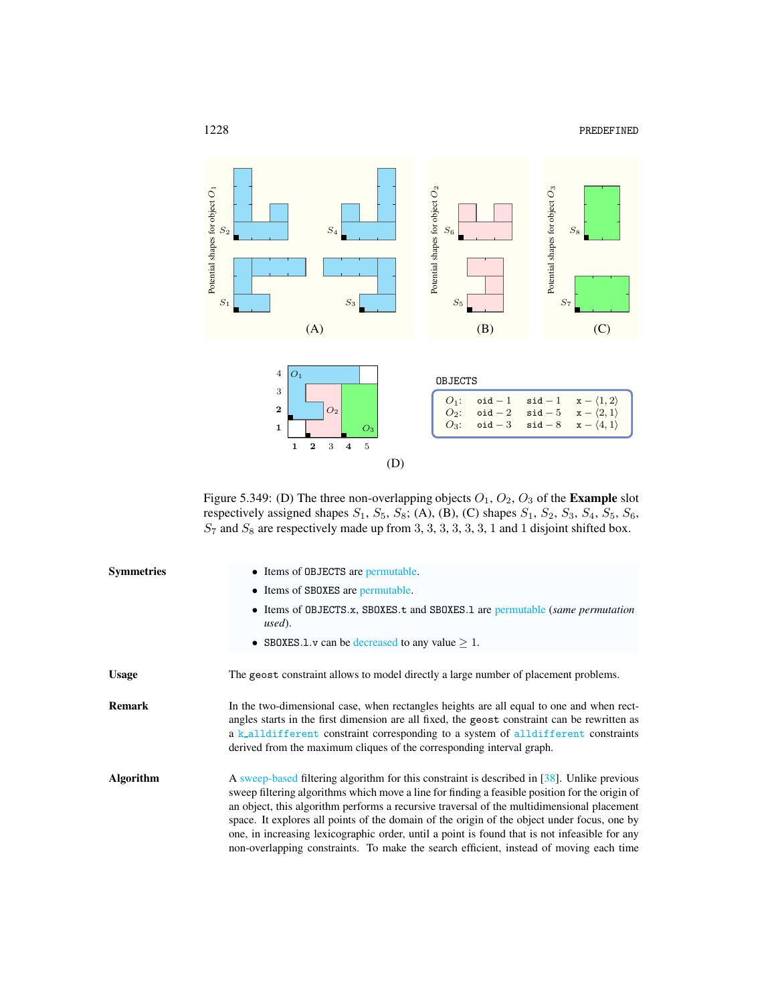



<span id="page-2-0"></span>Figure 5.349: (D) The three non-overlapping objects  $O_1$ ,  $O_2$ ,  $O_3$  of the **Example** slot respectively assigned shapes  $S_1$ ,  $S_5$ ,  $S_8$ ; (A), (B), (C) shapes  $S_1$ ,  $S_2$ ,  $S_3$ ,  $S_4$ ,  $S_5$ ,  $S_6$ ,  $S_7$  and  $S_8$  are respectively made up from 3, 3, 3, 3, 3, 3, 1 and 1 disjoint shifted box.

| <b>Symmetries</b> | • Items of OBJECTS are permutable.                                                                                                                                                                                                                                                                                                                                                                                                                                                                                                                                                    |  |  |
|-------------------|---------------------------------------------------------------------------------------------------------------------------------------------------------------------------------------------------------------------------------------------------------------------------------------------------------------------------------------------------------------------------------------------------------------------------------------------------------------------------------------------------------------------------------------------------------------------------------------|--|--|
|                   | • Items of SBOXES are permutable.                                                                                                                                                                                                                                                                                                                                                                                                                                                                                                                                                     |  |  |
|                   | • Items of OBJECTS.x, SBOXES.t and SBOXES.1 are permutable (same permutation<br>used).                                                                                                                                                                                                                                                                                                                                                                                                                                                                                                |  |  |
|                   | • SBOXES.1.v can be decreased to any value $> 1$ .                                                                                                                                                                                                                                                                                                                                                                                                                                                                                                                                    |  |  |
| <b>Usage</b>      | The geost constraint allows to model directly a large number of placement problems.                                                                                                                                                                                                                                                                                                                                                                                                                                                                                                   |  |  |
| <b>Remark</b>     | In the two-dimensional case, when rectangles heights are all equal to one and when rect-<br>angles starts in the first dimension are all fixed, the geost constraint can be rewritten as<br>a k_alldifferent constraint corresponding to a system of alldifferent constraints<br>derived from the maximum cliques of the corresponding interval graph.                                                                                                                                                                                                                                |  |  |
| <b>Algorithm</b>  | A sweep-based filtering algorithm for this constraint is described in [38]. Unlike previous<br>sweep filtering algorithms which move a line for finding a feasible position for the origin of<br>an object, this algorithm performs a recursive traversal of the multidimensional placement<br>space. It explores all points of the domain of the origin of the object under focus, one by<br>one, in increasing lexicographic order, until a point is found that is not infeasible for any<br>non-overlapping constraints. To make the search efficient, instead of moving each time |  |  |